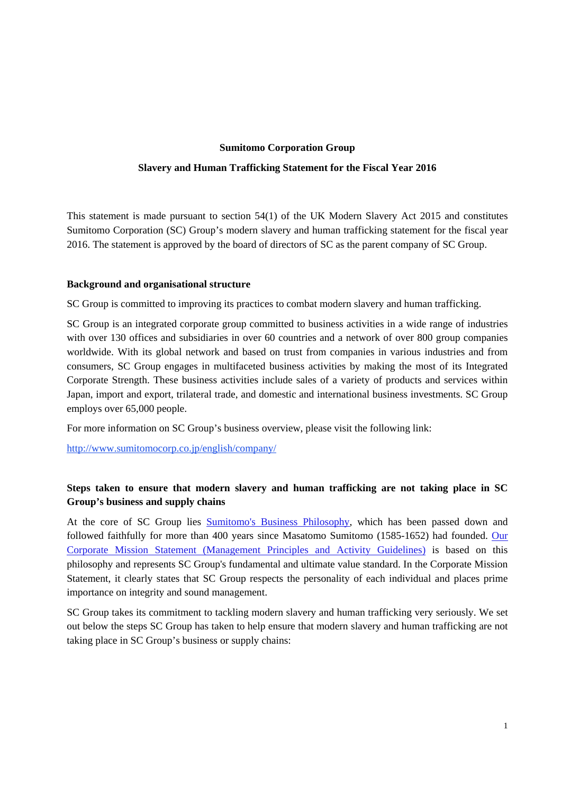#### **Sumitomo Corporation Group**

#### **Slavery and Human Trafficking Statement for the Fiscal Year 2016**

This statement is made pursuant to section 54(1) of the UK Modern Slavery Act 2015 and constitutes Sumitomo Corporation (SC) Group's modern slavery and human trafficking statement for the fiscal year 2016. The statement is approved by the board of directors of SC as the parent company of SC Group.

#### **Background and organisational structure**

SC Group is committed to improving its practices to combat modern slavery and human trafficking.

SC Group is an integrated corporate group committed to business activities in a wide range of industries with over 130 offices and subsidiaries in over 60 countries and a network of over 800 group companies worldwide. With its global network and based on trust from companies in various industries and from consumers, SC Group engages in multifaceted business activities by making the most of its Integrated Corporate Strength. These business activities include sales of a variety of products and services within Japan, import and export, trilateral trade, and domestic and international business investments. SC Group employs over 65,000 people.

For more information on SC Group's business overview, please visit the following link:

http://www.sumitomocorp.co.jp/english/company/

# **Steps taken to ensure that modern slavery and human trafficking are not taking place in SC Group's business and supply chains**

At the core of SC Group lies [Sumitomo's Business Philosophy,](https://www.sumitomocorp.com/en/jp/about/policy/principles#03) which has been passed down and followed faithfully for more than 400 years since Masatomo Sumitomo (1585-1652) had founded. Our [Corporate Mission Statement \(Management Principles and Activity Guidelines\) is based on this](http://www.sumitomocorp.co.jp/english/company/policy/principles/%20-%20mission)  philosophy and represents SC Group's fundamental and ultimate value standard. In the Corporate Mission Statement, it clearly states that SC Group respects the personality of each individual and places prime importance on integrity and sound management.

SC Group takes its commitment to tackling modern slavery and human trafficking very seriously. We set out below the steps SC Group has taken to help ensure that modern slavery and human trafficking are not taking place in SC Group's business or supply chains: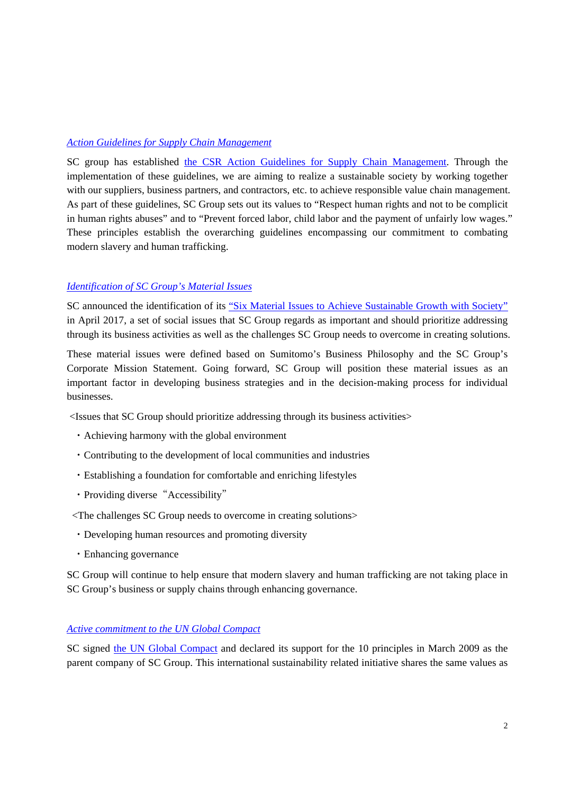## *Action Guidelines for Supply Chain Management*

[SC group has established the CSR Action Guidelines for Supply Chain Management.](https://www.sumitomocorp.com/en/jp/sustainability/csr#01) Through the implementation of these guidelines, we are aiming to realize a sustainable society by working together with our suppliers, business partners, and contractors, etc. to achieve responsible value chain management. As part of these guidelines, SC Group sets out its values to "Respect human rights and not to be complicit in human rights abuses" and to "Prevent forced labor, child labor and the payment of unfairly low wages." These principles establish the overarching guidelines encompassing our commitment to combating modern slavery and human trafficking.

### *[Identification of SC Group's Material Issues](http://www.sumitomocorp.co.jp/english/company/policy/material_issues/)*

SC announced the identification of its ["Six Material Issues to Achieve Sustainable Growth with Society"](http://www.sumitomocorp.co.jp/files/user/english/doc/company/policy/material_issues/material_issues_E.pdf)  in April 2017, a set of social issues that SC Group regards as important and should prioritize addressing through its business activities as well as the challenges SC Group needs to overcome in creating solutions.

These material issues were defined based on Sumitomo's Business Philosophy and the SC Group's Corporate Mission Statement. Going forward, SC Group will position these material issues as an important factor in developing business strategies and in the decision-making process for individual businesses.

<Issues that SC Group should prioritize addressing through its business activities>

- ・Achieving harmony with the global environment
- ・Contributing to the development of local communities and industries
- ・Establishing a foundation for comfortable and enriching lifestyles
- Providing diverse "Accessibility"
- <The challenges SC Group needs to overcome in creating solutions>
- ・Developing human resources and promoting diversity
- ・Enhancing governance

SC Group will continue to help ensure that modern slavery and human trafficking are not taking place in SC Group's business or supply chains through enhancing governance.

## *[Active commitment to the UN Global Compact](http://www.sumitomocorp.co.jp/english/csr/stakeholder/global_compact/)*

SC signed [the UN Global Compact](https://www.unglobalcompact.org/what-is-gc/mission/principles) and declared its support for the 10 principles in March 2009 as the parent company of SC Group. This international sustainability related initiative shares the same values as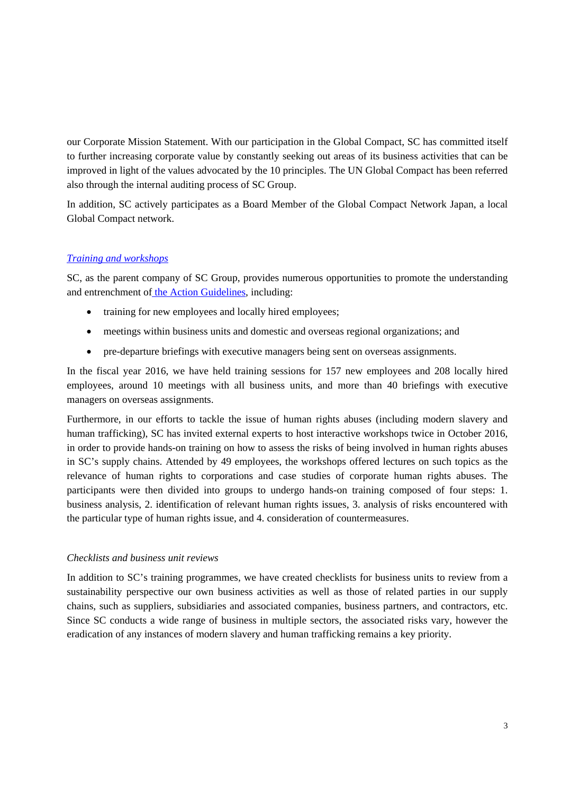our Corporate Mission Statement. With our participation in the Global Compact, SC has committed itself to further increasing corporate value by constantly seeking out areas of its business activities that can be improved in light of the values advocated by the 10 principles. The UN Global Compact has been referred also through the internal auditing process of SC Group.

In addition, SC actively participates as a Board Member of the Global Compact Network Japan, a local Global Compact network.

# *[Training and workshops](https://www.sumitomocorp.com/en/jp/sustainability/csr#08)*

SC, as the parent company of SC Group, provides numerous opportunities to promote the understanding and entrenchment of [the Action Guidelines,](https://www.sumitomocorp.com/en/jp/sustainability/csr#01) including:

- training for new employees and locally hired employees;
- meetings within business units and domestic and overseas regional organizations; and
- pre-departure briefings with executive managers being sent on overseas assignments.

In the fiscal year 2016, we have held training sessions for 157 new employees and 208 locally hired employees, around 10 meetings with all business units, and more than 40 briefings with executive managers on overseas assignments.

Furthermore, in our efforts to tackle the issue of human rights abuses (including modern slavery and human trafficking), SC has invited external experts to host interactive workshops twice in October 2016, in order to provide hands-on training on how to assess the risks of being involved in human rights abuses in SC's supply chains. Attended by 49 employees, the workshops offered lectures on such topics as the relevance of human rights to corporations and case studies of corporate human rights abuses. The participants were then divided into groups to undergo hands-on training composed of four steps: 1. business analysis, 2. identification of relevant human rights issues, 3. analysis of risks encountered with the particular type of human rights issue, and 4. consideration of countermeasures.

## *Checklists and business unit reviews*

In addition to SC's training programmes, we have created checklists for business units to review from a sustainability perspective our own business activities as well as those of related parties in our supply chains, such as suppliers, subsidiaries and associated companies, business partners, and contractors, etc. Since SC conducts a wide range of business in multiple sectors, the associated risks vary, however the eradication of any instances of modern slavery and human trafficking remains a key priority.